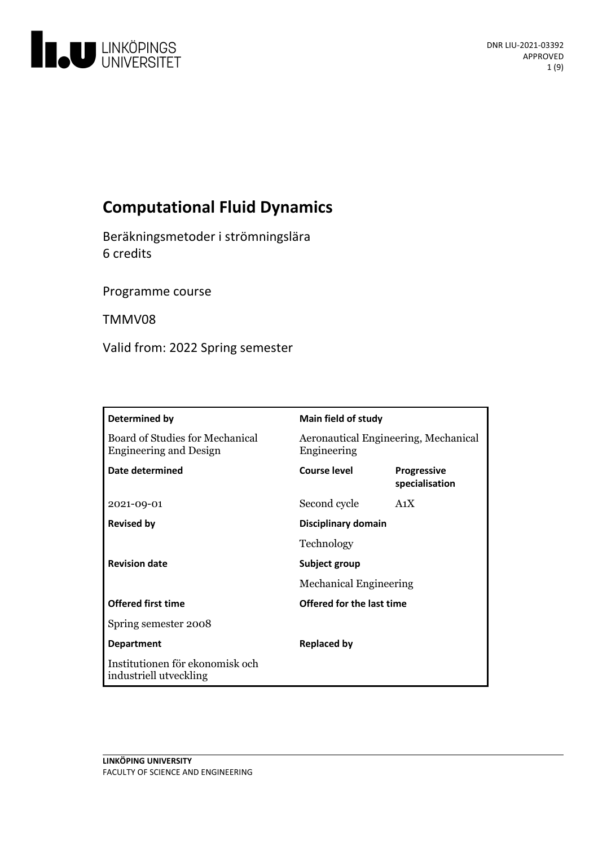

# **Computational Fluid Dynamics**

Beräkningsmetoder i strömningslära 6 credits

Programme course

TMMV08

Valid from: 2022 Spring semester

| Determined by                                                    | <b>Main field of study</b>                          |                                      |
|------------------------------------------------------------------|-----------------------------------------------------|--------------------------------------|
| Board of Studies for Mechanical<br><b>Engineering and Design</b> | Aeronautical Engineering, Mechanical<br>Engineering |                                      |
| Date determined                                                  | <b>Course level</b>                                 | <b>Progressive</b><br>specialisation |
| 2021-09-01                                                       | Second cycle                                        | A <sub>1</sub> X                     |
| <b>Revised by</b>                                                | Disciplinary domain                                 |                                      |
|                                                                  | Technology                                          |                                      |
| <b>Revision date</b>                                             | Subject group                                       |                                      |
|                                                                  | <b>Mechanical Engineering</b>                       |                                      |
| <b>Offered first time</b>                                        | Offered for the last time                           |                                      |
| Spring semester 2008                                             |                                                     |                                      |
| <b>Department</b>                                                | <b>Replaced by</b>                                  |                                      |
| Institutionen för ekonomisk och<br>industriell utveckling        |                                                     |                                      |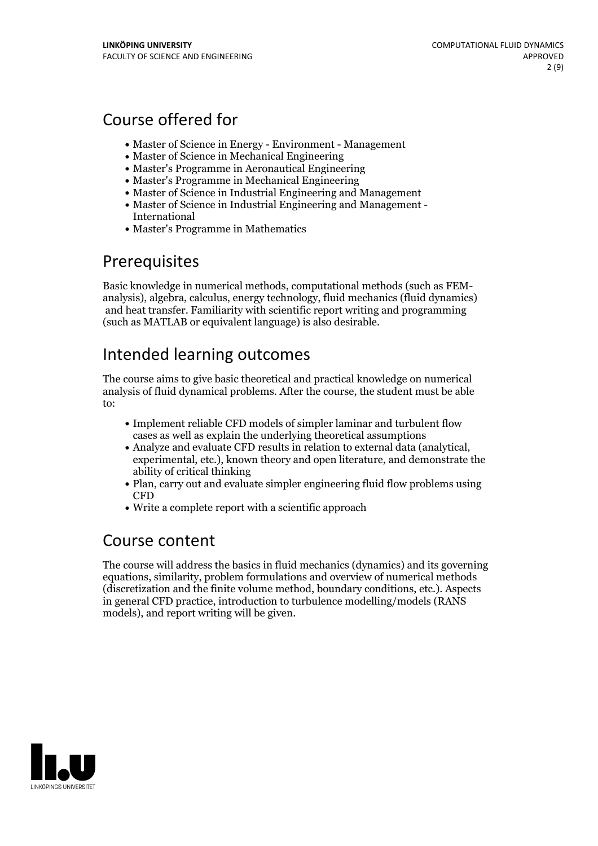# Course offered for

- Master of Science in Energy Environment Management
- Master of Science in Mechanical Engineering
- Master's Programme in Aeronautical Engineering
- Master's Programme in Mechanical Engineering
- Master of Science in Industrial Engineering and Management
- Master of Science in Industrial Engineering and Management International
- Master's Programme in Mathematics

# Prerequisites

Basic knowledge in numerical methods, computational methods (such as FEM- analysis), algebra, calculus, energy technology, fluid mechanics (fluid dynamics) and heat transfer. Familiarity with scientific report writing and programming (such as MATLAB or equivalent language) is also desirable.

# Intended learning outcomes

The course aims to give basic theoretical and practical knowledge on numerical analysis of fluid dynamical problems. After the course, the student must be able to:

- Implement reliable CFD models of simpler laminar and turbulent flow cases as well as explain the underlying theoretical assumptions
- Analyze and evaluate CFD results in relation to external data (analytical, experimental, etc.), known theory and open literature, and demonstrate the ability of critical thinking
- Plan, carry out and evaluate simpler engineering fluid flow problems using CFD
- Write a complete report with a scientific approach

## Course content

The course will address the basics in fluid mechanics (dynamics) and its governing equations, similarity, problem formulations and overview of numerical methods (discretization and the finite volume method, boundary conditions, etc.). Aspects in general CFD practice, introduction to turbulence modelling/models (RANS models), and report writing will be given.

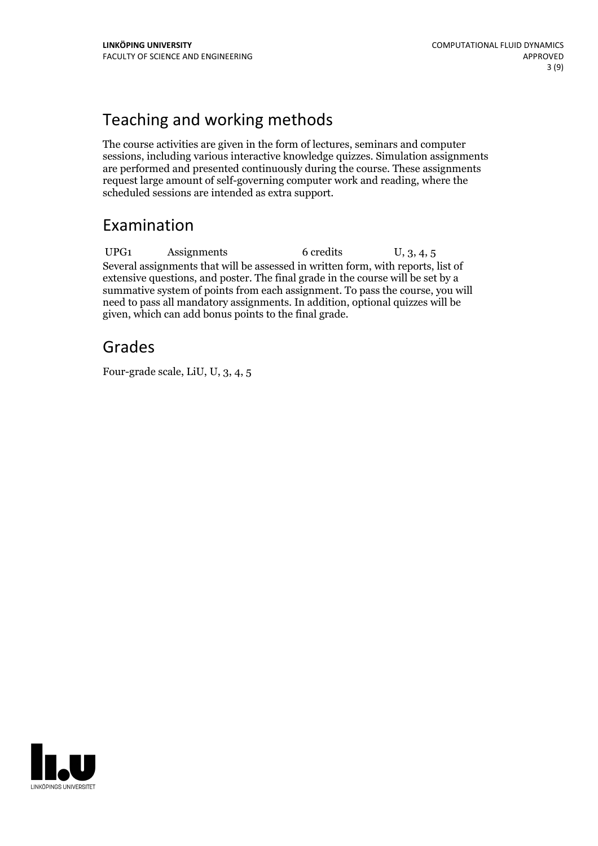# Teaching and working methods

The course activities are given in the form of lectures, seminars and computer sessions, including various interactive knowledge quizzes. Simulation assignments are performed and presented continuously during the course. These assignments request large amount of self-governing computer work and reading, where the scheduled sessions are intended as extra support.

# Examination

UPG1 Assignments 6 credits U, 3, 4, 5 Several assignments that will be assessed in written form, with reports, list of extensive questions, and poster. The final grade in the course will be set by a summative system of points from each assignment. To pass the course, you will need to pass all mandatory assignments. In addition, optional quizzes will be given, which can add bonus points to the final grade.

# Grades

Four-grade scale, LiU, U, 3, 4, 5

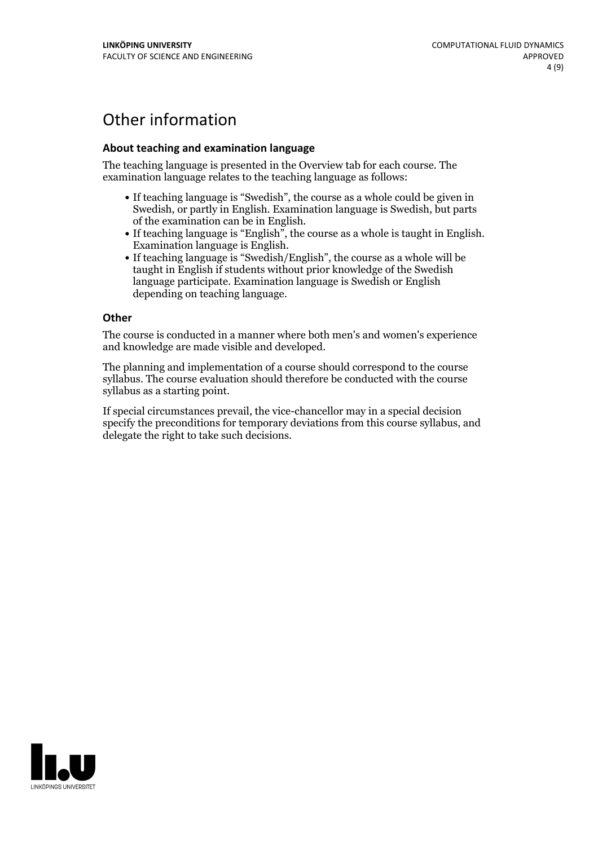# Other information

### **About teaching and examination language**

The teaching language is presented in the Overview tab for each course. The examination language relates to the teaching language as follows:

- If teaching language is "Swedish", the course as a whole could be given in Swedish, or partly in English. Examination language is Swedish, but parts
- of the examination can be in English. If teaching language is "English", the course as <sup>a</sup> whole is taught in English. Examination language is English. If teaching language is "Swedish/English", the course as <sup>a</sup> whole will be
- taught in English if students without prior knowledge of the Swedish language participate. Examination language is Swedish or English depending on teaching language.

#### **Other**

The course is conducted in a manner where both men's and women's experience and knowledge are made visible and developed.

The planning and implementation of a course should correspond to the course syllabus. The course evaluation should therefore be conducted with the course syllabus as a starting point.

If special circumstances prevail, the vice-chancellor may in a special decision specify the preconditions for temporary deviations from this course syllabus, and delegate the right to take such decisions.

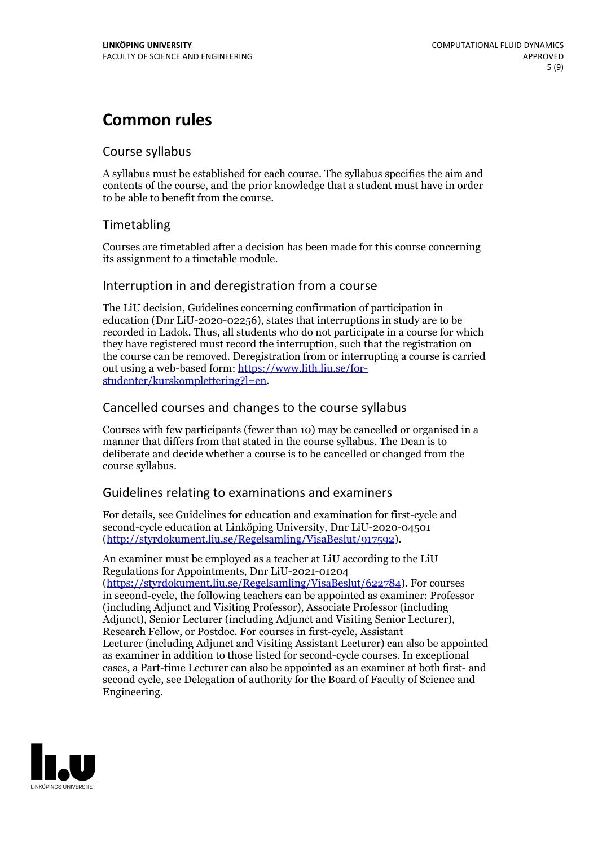# **Common rules**

### Course syllabus

A syllabus must be established for each course. The syllabus specifies the aim and contents of the course, and the prior knowledge that a student must have in order to be able to benefit from the course.

## Timetabling

Courses are timetabled after a decision has been made for this course concerning its assignment to a timetable module.

### Interruption in and deregistration from a course

The LiU decision, Guidelines concerning confirmation of participation in education (Dnr LiU-2020-02256), states that interruptions in study are to be recorded in Ladok. Thus, all students who do not participate in a course for which they have registered must record the interruption, such that the registration on the course can be removed. Deregistration from or interrupting a course is carried out using <sup>a</sup> web-based form: https://www.lith.liu.se/for- [studenter/kurskomplettering?l=en.](https://www.lith.liu.se/for-studenter/kurskomplettering?l=en)

## Cancelled courses and changes to the course syllabus

Courses with few participants (fewer than 10) may be cancelled or organised in a manner that differs from that stated in the course syllabus. The Dean is to deliberate and decide whether a course is to be cancelled or changed from the course syllabus.

## Guidelines relating to examinations and examiners

For details, see Guidelines for education and examination for first-cycle and second-cycle education at Linköping University, Dnr LiU-2020-04501 [\(http://styrdokument.liu.se/Regelsamling/VisaBeslut/917592\)](http://styrdokument.liu.se/Regelsamling/VisaBeslut/917592).

An examiner must be employed as a teacher at LiU according to the LiU Regulations for Appointments, Dnr LiU-2021-01204 [\(https://styrdokument.liu.se/Regelsamling/VisaBeslut/622784](https://styrdokument.liu.se/Regelsamling/VisaBeslut/622784)). For courses in second-cycle, the following teachers can be appointed as examiner: Professor (including Adjunct and Visiting Professor), Associate Professor (including Adjunct), Senior Lecturer (including Adjunct and Visiting Senior Lecturer), Research Fellow, or Postdoc. For courses in first-cycle, Assistant Lecturer (including Adjunct and Visiting Assistant Lecturer) can also be appointed as examiner in addition to those listed for second-cycle courses. In exceptional cases, a Part-time Lecturer can also be appointed as an examiner at both first- and second cycle, see Delegation of authority for the Board of Faculty of Science and Engineering.

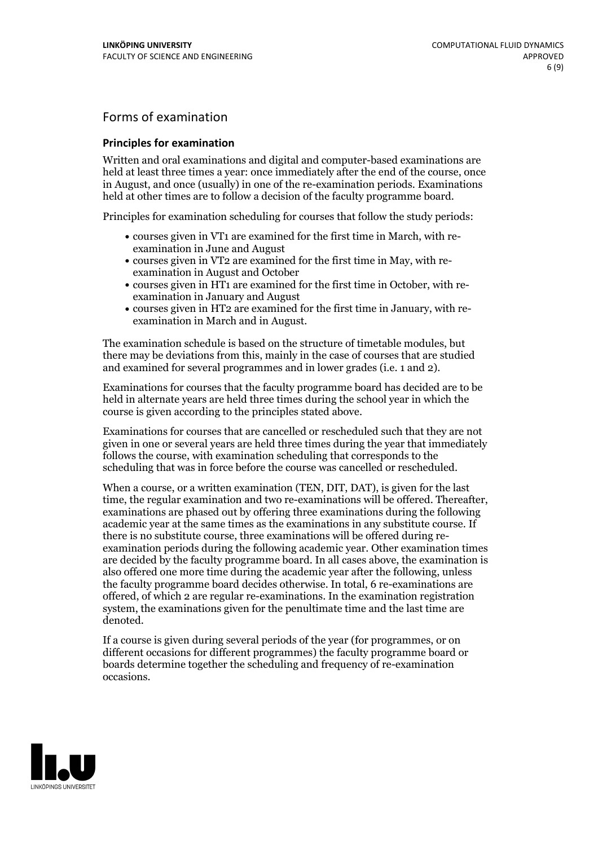## Forms of examination

### **Principles for examination**

Written and oral examinations and digital and computer-based examinations are held at least three times a year: once immediately after the end of the course, once in August, and once (usually) in one of the re-examination periods. Examinations held at other times are to follow a decision of the faculty programme board.

Principles for examination scheduling for courses that follow the study periods:

- courses given in VT1 are examined for the first time in March, with re-examination in June and August
- courses given in VT2 are examined for the first time in May, with re-examination in August and October
- courses given in HT1 are examined for the first time in October, with re-examination in January and August
- courses given in HT2 are examined for the first time in January, with re-examination in March and in August.

The examination schedule is based on the structure of timetable modules, but there may be deviations from this, mainly in the case of courses that are studied and examined for several programmes and in lower grades (i.e. 1 and 2).

Examinations for courses that the faculty programme board has decided are to be held in alternate years are held three times during the school year in which the course is given according to the principles stated above.

Examinations for courses that are cancelled orrescheduled such that they are not given in one or several years are held three times during the year that immediately follows the course, with examination scheduling that corresponds to the scheduling that was in force before the course was cancelled or rescheduled.

When a course, or a written examination (TEN, DIT, DAT), is given for the last time, the regular examination and two re-examinations will be offered. Thereafter, examinations are phased out by offering three examinations during the following academic year at the same times as the examinations in any substitute course. If there is no substitute course, three examinations will be offered during re- examination periods during the following academic year. Other examination times are decided by the faculty programme board. In all cases above, the examination is also offered one more time during the academic year after the following, unless the faculty programme board decides otherwise. In total, 6 re-examinations are offered, of which 2 are regular re-examinations. In the examination registration system, the examinations given for the penultimate time and the last time are denoted.

If a course is given during several periods of the year (for programmes, or on different occasions for different programmes) the faculty programme board or boards determine together the scheduling and frequency of re-examination occasions.

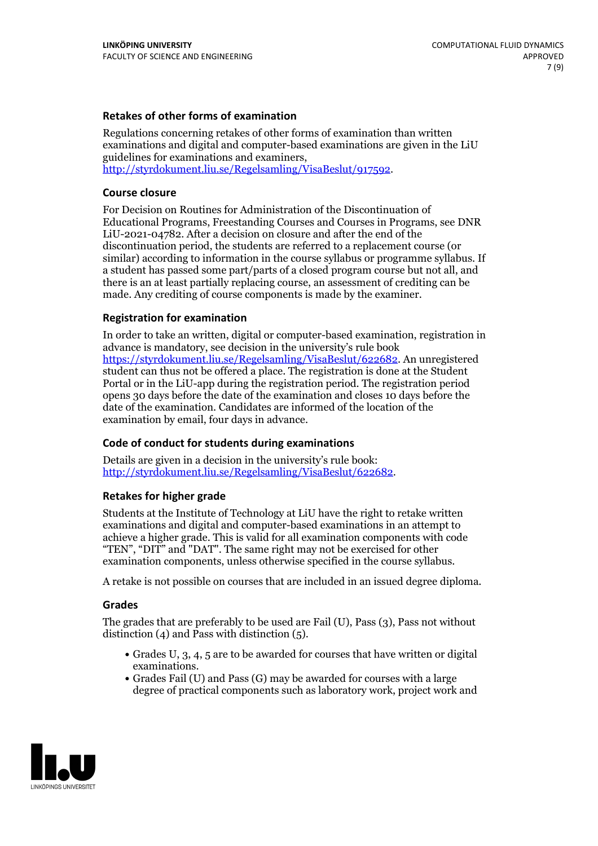### **Retakes of other forms of examination**

Regulations concerning retakes of other forms of examination than written examinations and digital and computer-based examinations are given in the LiU guidelines for examinations and examiners, [http://styrdokument.liu.se/Regelsamling/VisaBeslut/917592.](http://styrdokument.liu.se/Regelsamling/VisaBeslut/917592)

#### **Course closure**

For Decision on Routines for Administration of the Discontinuation of Educational Programs, Freestanding Courses and Courses in Programs, see DNR LiU-2021-04782. After a decision on closure and after the end of the discontinuation period, the students are referred to a replacement course (or similar) according to information in the course syllabus or programme syllabus. If a student has passed some part/parts of a closed program course but not all, and there is an at least partially replacing course, an assessment of crediting can be made. Any crediting of course components is made by the examiner.

#### **Registration for examination**

In order to take an written, digital or computer-based examination, registration in advance is mandatory, see decision in the university's rule book [https://styrdokument.liu.se/Regelsamling/VisaBeslut/622682.](https://styrdokument.liu.se/Regelsamling/VisaBeslut/622682) An unregistered student can thus not be offered a place. The registration is done at the Student Portal or in the LiU-app during the registration period. The registration period opens 30 days before the date of the examination and closes 10 days before the date of the examination. Candidates are informed of the location of the examination by email, four days in advance.

#### **Code of conduct for students during examinations**

Details are given in a decision in the university's rule book: <http://styrdokument.liu.se/Regelsamling/VisaBeslut/622682>.

#### **Retakes for higher grade**

Students at the Institute of Technology at LiU have the right to retake written examinations and digital and computer-based examinations in an attempt to achieve a higher grade. This is valid for all examination components with code "TEN", "DIT" and "DAT". The same right may not be exercised for other examination components, unless otherwise specified in the course syllabus.

A retake is not possible on courses that are included in an issued degree diploma.

#### **Grades**

The grades that are preferably to be used are Fail (U), Pass (3), Pass not without distinction  $(4)$  and Pass with distinction  $(5)$ .

- Grades U, 3, 4, 5 are to be awarded for courses that have written or digital examinations.<br>• Grades Fail (U) and Pass (G) may be awarded for courses with a large
- degree of practical components such as laboratory work, project work and

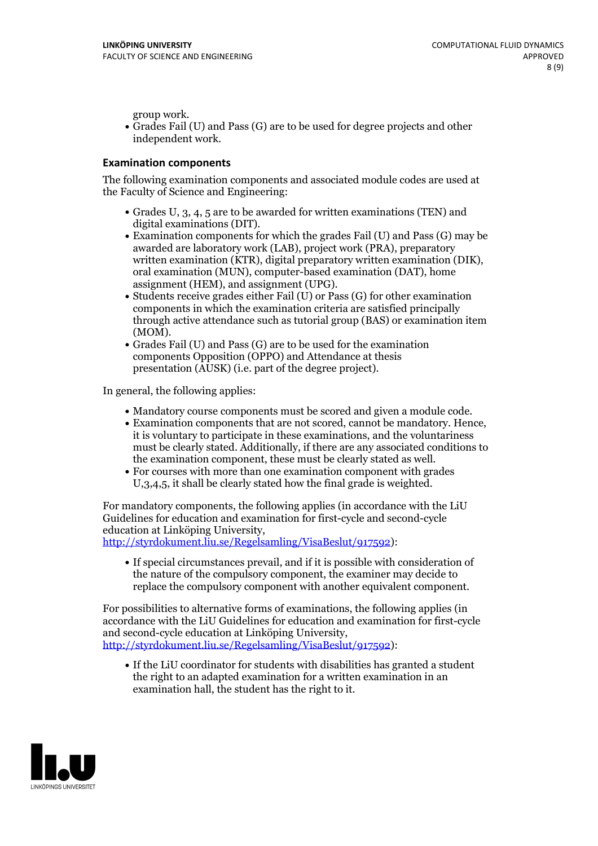group work.<br>• Grades Fail (U) and Pass (G) are to be used for degree projects and other independent work.

### **Examination components**

The following examination components and associated module codes are used at the Faculty of Science and Engineering:

- Grades U, 3, 4, 5 are to be awarded for written examinations (TEN) and
- digital examinations (DIT).<br>• Examination components for which the grades Fail (U) and Pass (G) may be awarded are laboratory work (LAB), project work (PRA), preparatory written examination (KTR), digital preparatory written examination (DIK), oral examination (MUN), computer-based examination (DAT), home
- assignment (HEM), and assignment (UPG).<br>• Students receive grades either Fail (U) or Pass (G) for other examination components in which the examination criteria are satisfied principally through active attendance such as tutorial group (BAS) or examination item
- (MOM).<br>• Grades Fail (U) and Pass (G) are to be used for the examination components Opposition (OPPO) and Attendance at thesis presentation (AUSK) (i.e. part of the degree project).

In general, the following applies:

- 
- Mandatory course components must be scored and given <sup>a</sup> module code. Examination components that are not scored, cannot be mandatory. Hence, it is voluntary to participate in these examinations, and the voluntariness must be clearly stated. Additionally, if there are any associated conditions to
- the examination component, these must be clearly stated as well.<br>• For courses with more than one examination component with grades U,3,4,5, it shall be clearly stated how the final grade is weighted.

For mandatory components, the following applies (in accordance with the LiU Guidelines for education and examination for first-cycle and second-cycle education at Linköping University,<br>[http://styrdokument.liu.se/Regelsamling/VisaBeslut/917592\)](http://styrdokument.liu.se/Regelsamling/VisaBeslut/917592):

If special circumstances prevail, and if it is possible with consideration of the nature of the compulsory component, the examiner may decide to replace the compulsory component with another equivalent component.

For possibilities to alternative forms of examinations, the following applies (in accordance with the LiU Guidelines for education and examination for first-cycle [http://styrdokument.liu.se/Regelsamling/VisaBeslut/917592\)](http://styrdokument.liu.se/Regelsamling/VisaBeslut/917592):

If the LiU coordinator for students with disabilities has granted a student the right to an adapted examination for a written examination in an examination hall, the student has the right to it.